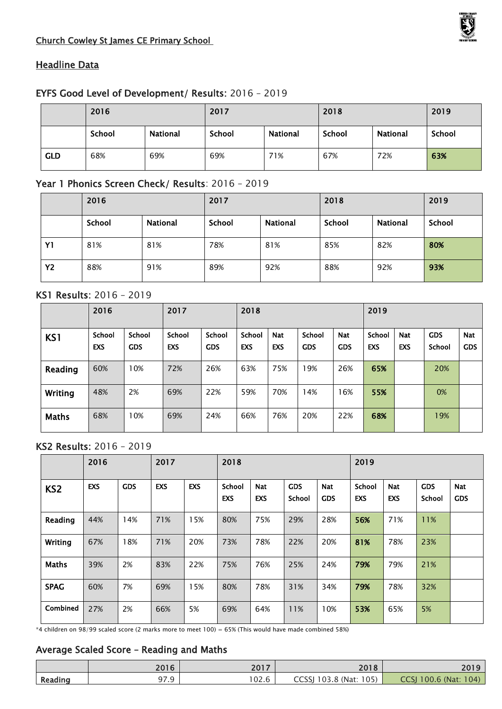### Church Cowley St James CE Primary School



## **Headline Data**

### EYFS Good Level of Development/ Results: 2016 – 2019

|            | 2016   |                 | 2017   |          | 2018   | 2019            |        |
|------------|--------|-----------------|--------|----------|--------|-----------------|--------|
|            | School | <b>National</b> | School | National | School | <b>National</b> | School |
| <b>GLD</b> | 68%    | 69%             | 69%    | 71%      | 67%    | 72%             | 63%    |

# Year 1 Phonics Screen Check/ Results: 2016 – 2019

|           | 2016   |          | 2017   |                 | 2018   | 2019            |        |
|-----------|--------|----------|--------|-----------------|--------|-----------------|--------|
|           | School | National | School | <b>National</b> | School | <b>National</b> | School |
| Y1        | 81%    | 81%      | 78%    | 81%             | 85%    | 82%             | 80%    |
| <b>Y2</b> | 88%    | 91%      | 89%    | 92%             | 88%    | 92%             | 93%    |

### KS1 Results: 2016 – 2019

|              | 2016                        |                             | 2017                        |                             | 2018          |                          |                             |                          | 2019          |                          |                      |                          |
|--------------|-----------------------------|-----------------------------|-----------------------------|-----------------------------|---------------|--------------------------|-----------------------------|--------------------------|---------------|--------------------------|----------------------|--------------------------|
| KS1          | <b>School</b><br><b>EXS</b> | <b>School</b><br><b>GDS</b> | <b>School</b><br><b>EXS</b> | <b>School</b><br><b>GDS</b> | School<br>EXS | <b>Nat</b><br><b>EXS</b> | <b>School</b><br><b>GDS</b> | <b>Nat</b><br><b>GDS</b> | School<br>EXS | <b>Nat</b><br><b>EXS</b> | <b>GDS</b><br>School | <b>Nat</b><br><b>GDS</b> |
| Reading      | 60%                         | 10%                         | 72%                         | 26%                         | 63%           | 75%                      | 19%                         | 26%                      | 65%           |                          | 20%                  |                          |
| Writing      | 48%                         | 2%                          | 69%                         | 22%                         | 59%           | 70%                      | 14%                         | 6%                       | 55%           |                          | 0%                   |                          |
| <b>Maths</b> | 68%                         | 10%                         | 69%                         | 24%                         | 66%           | 76%                      | 20%                         | 22%                      | 68%           |                          | 19%                  |                          |

## KS2 Results: 2016 – 2019

|                 | 2016<br>2017 |            | 2018       |            |                             |                          | 2019                        |                          |               |                          |                      |                          |
|-----------------|--------------|------------|------------|------------|-----------------------------|--------------------------|-----------------------------|--------------------------|---------------|--------------------------|----------------------|--------------------------|
| KS <sub>2</sub> | <b>EXS</b>   | <b>GDS</b> | <b>EXS</b> | <b>EXS</b> | <b>School</b><br><b>EXS</b> | <b>Nat</b><br><b>EXS</b> | <b>GDS</b><br><b>School</b> | <b>Nat</b><br><b>GDS</b> | School<br>EXS | <b>Nat</b><br><b>EXS</b> | <b>GDS</b><br>School | <b>Nat</b><br><b>GDS</b> |
| Reading         | 44%          | 14%        | 71%        | 15%        | 80%                         | 75%                      | 29%                         | 28%                      | 56%           | 71%                      | 11%                  |                          |
| Writing         | 67%          | 18%        | 71%        | 20%        | 73%                         | 78%                      | 22%                         | 20%                      | 81%           | 78%                      | 23%                  |                          |
| Maths           | 39%          | 2%         | 83%        | 22%        | 75%                         | 76%                      | 25%                         | 24%                      | 79%           | 79%                      | 21%                  |                          |
| <b>SPAG</b>     | 60%          | 7%         | 69%        | 15%        | 80%                         | 78%                      | 31%                         | 34%                      | 79%           | 78%                      | 32%                  |                          |
| Combined        | 27%          | 2%         | 66%        | 5%         | 69%                         | 64%                      | 11%                         | 10%                      | 53%           | 65%                      | 5%                   |                          |

\*4 children on 98/99 scaled score (2 marks more to meet 100) = 65% (This would have made combined 58%)

### Average Scaled Score – Reading and Maths

|         | 2016                 | 2017  | 2018                   | 2019                  |
|---------|----------------------|-------|------------------------|-----------------------|
| Reading | _ റ−<br>' വ<br>כ. זכ | 102.6 | CCSSJ 103.8 (Nat: 105) | CCSJ 100.6 (Nat: 104) |